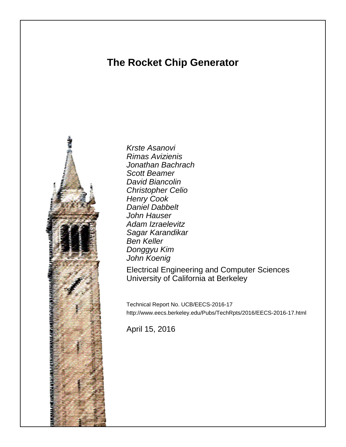# **The Rocket Chip Generator**



Krste Asanovi Rimas Avizienis Jonathan Bachrach Scott Beamer David Biancolin Christopher Celio Henry Cook Daniel Dabbelt John Hauser Adam Izraelevitz Sagar Karandikar Ben Keller Donggyu Kim John Koenig

Electrical Engineering and Computer Sciences University of California at Berkeley

Technical Report No. UCB/EECS-2016-17 http://www.eecs.berkeley.edu/Pubs/TechRpts/2016/EECS-2016-17.html

April 15, 2016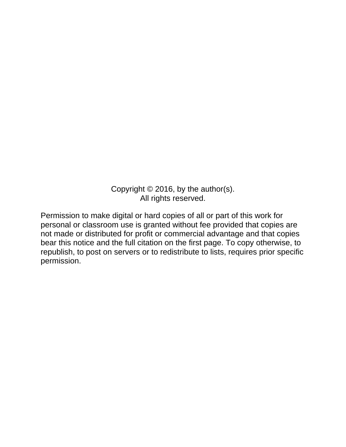Copyright © 2016, by the author(s). All rights reserved.

Permission to make digital or hard copies of all or part of this work for personal or classroom use is granted without fee provided that copies are not made or distributed for profit or commercial advantage and that copies bear this notice and the full citation on the first page. To copy otherwise, to republish, to post on servers or to redistribute to lists, requires prior specific permission.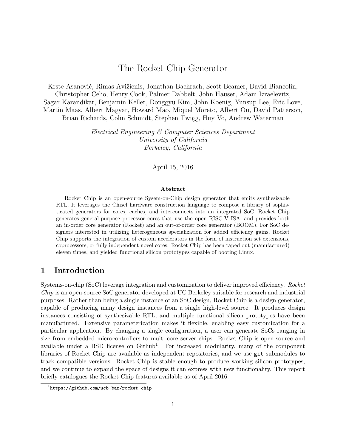## The Rocket Chip Generator

Krste Asanović, Rimas Avižienis, Jonathan Bachrach, Scott Beamer, David Biancolin, Christopher Celio, Henry Cook, Palmer Dabbelt, John Hauser, Adam Izraelevitz, Sagar Karandikar, Benjamin Keller, Donggyu Kim, John Koenig, Yunsup Lee, Eric Love, Martin Maas, Albert Magyar, Howard Mao, Miquel Moreto, Albert Ou, David Patterson, Brian Richards, Colin Schmidt, Stephen Twigg, Huy Vo, Andrew Waterman

> Electrical Engineering & Computer Sciences Department University of California Berkeley, California

> > April 15, 2016

#### Abstract

Rocket Chip is an open-source Sysem-on-Chip design generator that emits synthesizable RTL. It leverages the Chisel hardware construction language to compose a library of sophisticated generators for cores, caches, and interconnects into an integrated SoC. Rocket Chip generates general-purpose processor cores that use the open RISC-V ISA, and provides both an in-order core generator (Rocket) and an out-of-order core generator (BOOM). For SoC designers interested in utilizing heterogeneous specialization for added efficiency gains, Rocket Chip supports the integration of custom accelerators in the form of instruction set extensions, coprocessors, or fully independent novel cores. Rocket Chip has been taped out (manufactured) eleven times, and yielded functional silicon prototypes capable of booting Linux.

#### 1 Introduction

Systems-on-chip (SoC) leverage integration and customization to deliver improved efficiency. Rocket Chip is an open-source SoC generator developed at UC Berkeley suitable for research and industrial purposes. Rather than being a single instance of an SoC design, Rocket Chip is a design generator, capable of producing many design instances from a single high-level source. It produces design instances consisting of synthesizable RTL, and multiple functional silicon prototypes have been manufactured. Extensive parameterization makes it flexible, enabling easy customization for a particular application. By changing a single configuration, a user can generate SoCs ranging in size from embedded microcontrollers to multi-core server chips. Rocket Chip is open-source and available under a BSD license on  $Github<sup>1</sup>$ . For increased modularity, many of the component libraries of Rocket Chip are available as independent repositories, and we use git submodules to track compatible versions. Rocket Chip is stable enough to produce working silicon prototypes, and we continue to expand the space of designs it can express with new functionality. This report briefly catalogues the Rocket Chip features available as of April 2016.

 $1$ https://github.com/ucb-bar/rocket-chip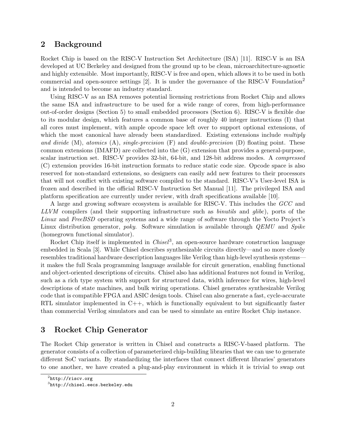#### 2 Background

Rocket Chip is based on the RISC-V Instruction Set Architecture (ISA) [11]. RISC-V is an ISA developed at UC Berkeley and designed from the ground up to be clean, microarchitecture-agnostic and highly extensible. Most importantly, RISC-V is free and open, which allows it to be used in both commercial and open-source settings  $[2]$ . It is under the governance of the RISC-V Foundation<sup>2</sup> and is intended to become an industry standard.

Using RISC-V as an ISA removes potential licensing restrictions from Rocket Chip and allows the same ISA and infrastructure to be used for a wide range of cores, from high-performance out-of-order designs (Section 5) to small embedded processors (Section 6). RISC-V is flexible due to its modular design, which features a common base of roughly 40 integer instructions (I) that all cores must implement, with ample opcode space left over to support optional extensions, of which the most canonical have already been standardized. Existing extensions include multiply and divide  $(M)$ , atomics  $(A)$ , single-precision  $(F)$  and double-precision  $(D)$  floating point. These common extensions (IMAFD) are collected into the (G) extension that provides a general-purpose, scalar instruction set. RISC-V provides 32-bit, 64-bit, and 128-bit address modes. A compressed (C) extension provides 16-bit instruction formats to reduce static code size. Opcode space is also reserved for non-standard extensions, so designers can easily add new features to their processors that will not conflict with existing software compiled to the standard. RISC-V's User-level ISA is frozen and described in the official RISC-V Instruction Set Manual [11]. The privileged ISA and platform specification are currently under review, with draft specifications available [10].

A large and growing software ecosystem is available for RISC-V. This includes the GCC and LLVM compilers (and their supporting infrastructure such as *binutils* and *glibc*), ports of the Linux and FreeBSD operating systems and a wide range of software through the Yocto Project's Linux distribution generator, *poky.* Software simulation is available through *QEMU* and *Spike* (homegrown functional simulator).

Rocket Chip itself is implemented in  $Chisel^3$ , an open-source hardware construction language embedded in Scala [3]. While Chisel describes synthesizable circuits directly—and so more closely resembles traditional hardware description languages like Verilog than high-level synthesis systems it makes the full Scala programming language available for circuit generation, enabling functional and object-oriented descriptions of circuits. Chisel also has additional features not found in Verilog, such as a rich type system with support for structured data, width inference for wires, high-level descriptions of state machines, and bulk wiring operations. Chisel generates synthesizable Verilog code that is compatible FPGA and ASIC design tools. Chisel can also generate a fast, cycle-accurate RTL simulator implemented in  $C++$ , which is functionally equivalent to but significantly faster than commercial Verilog simulators and can be used to simulate an entire Rocket Chip instance.

#### 3 Rocket Chip Generator

The Rocket Chip generator is written in Chisel and constructs a RISC-V-based platform. The generator consists of a collection of parameterized chip-building libraries that we can use to generate different SoC variants. By standardizing the interfaces that connect different libraries' generators to one another, we have created a plug-and-play environment in which it is trivial to swap out

 $^2$ http://riscv.org

 $^3$ http:// $\mathtt{chisel.eecs.berkeley.edu}$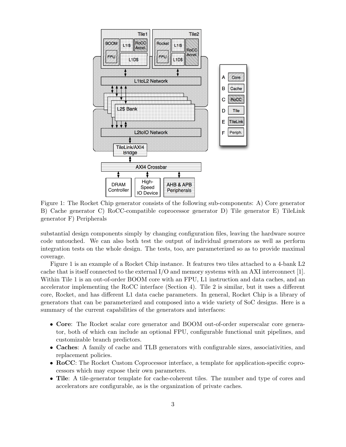

Figure 1: The Rocket Chip generator consists of the following sub-components: A) Core generator B) Cache generator C) RoCC-compatible coprocessor generator D) Tile generator E) TileLink generator F) Peripherals

substantial design components simply by changing configuration files, leaving the hardware source code untouched. We can also both test the output of individual generators as well as perform integration tests on the whole design. The tests, too, are parameterized so as to provide maximal coverage.

Figure 1 is an example of a Rocket Chip instance. It features two tiles attached to a 4-bank L2 cache that is itself connected to the external I/O and memory systems with an AXI interconnect [1]. Within Tile 1 is an out-of-order BOOM core with an FPU, L1 instruction and data caches, and an accelerator implementing the RoCC interface (Section 4). Tile 2 is similar, but it uses a different core, Rocket, and has different L1 data cache parameters. In general, Rocket Chip is a library of generators that can be parameterized and composed into a wide variety of SoC designs. Here is a summary of the current capabilities of the generators and interfaces:

- Core: The Rocket scalar core generator and BOOM out-of-order superscalar core generator, both of which can include an optional FPU, configurable functional unit pipelines, and customizable branch predictors.
- Caches: A family of cache and TLB generators with configurable sizes, associativities, and replacement policies.
- RoCC: The Rocket Custom Coprocessor interface, a template for application-specific coprocessors which may expose their own parameters.
- Tile: A tile-generator template for cache-coherent tiles. The number and type of cores and accelerators are configurable, as is the organization of private caches.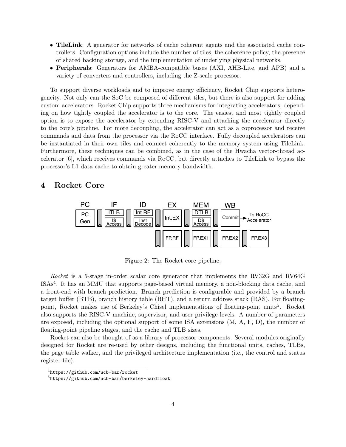- TileLink: A generator for networks of cache coherent agents and the associated cache controllers. Configuration options include the number of tiles, the coherence policy, the presence of shared backing storage, and the implementation of underlying physical networks.
- Peripherals: Generators for AMBA-compatible buses (AXI, AHB-Lite, and APB) and a variety of converters and controllers, including the Z-scale processor.

To support diverse workloads and to improve energy efficiency, Rocket Chip supports heterogeneity. Not only can the SoC be composed of different tiles, but there is also support for adding custom accelerators. Rocket Chip supports three mechanisms for integrating accelerators, depending on how tightly coupled the accelerator is to the core. The easiest and most tightly coupled option is to expose the accelerator by extending RISC-V and attaching the accelerator directly to the core's pipeline. For more decoupling, the accelerator can act as a coprocessor and receive commands and data from the processor via the RoCC interface. Fully decoupled accelerators can be instantiated in their own tiles and connect coherently to the memory system using TileLink. Furthermore, these techniques can be combined, as in the case of the Hwacha vector-thread accelerator [6], which receives commands via RoCC, but directly attaches to TileLink to bypass the processor's L1 data cache to obtain greater memory bandwidth.

#### 4 Rocket Core



Figure 2: The Rocket core pipeline.

Rocket is a 5-stage in-order scalar core generator that implements the RV32G and RV64G ISAs<sup>4</sup> . It has an MMU that supports page-based virtual memory, a non-blocking data cache, and a front-end with branch prediction. Branch prediction is configurable and provided by a branch target buffer (BTB), branch history table (BHT), and a return address stack (RAS). For floatingpoint, Rocket makes use of Berkeley's Chisel implementations of floating-point units<sup>5</sup>. Rocket also supports the RISC-V machine, supervisor, and user privilege levels. A number of parameters are exposed, including the optional support of some ISA extensions (M, A, F, D), the number of floating-point pipeline stages, and the cache and TLB sizes.

Rocket can also be thought of as a library of processor components. Several modules originally designed for Rocket are re-used by other designs, including the functional units, caches, TLBs, the page table walker, and the privileged architecture implementation (i.e., the control and status register file).

 $^4$ https://github.com/ucb-bar/rocket

 $^{5}$ https://github.com/ucb-bar/berkeley-hardfloat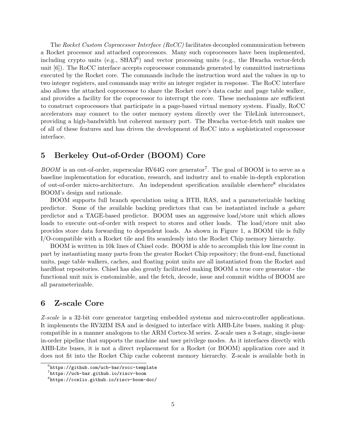The Rocket Custom Coprocessor Interface (RoCC) facilitates decoupled communication between a Rocket processor and attached coprocessors. Many such coprocessors have been implemented, including crypto units (e.g., SHA3<sup>6</sup>) and vector processing units (e.g., the Hwacha vector-fetch unit [6]). The RoCC interface accepts coprocessor commands generated by committed instructions executed by the Rocket core. The commands include the instruction word and the values in up to two integer registers, and commands may write an integer register in response. The RoCC interface also allows the attached coprocessor to share the Rocket core's data cache and page table walker, and provides a facility for the coprocessor to interrupt the core. These mechanisms are sufficient to construct coprocessors that participate in a page-based virtual memory system. Finally, RoCC accelerators may connect to the outer memory system directly over the TileLink interconnect, providing a high-bandwidth but coherent memory port. The Hwacha vector-fetch unit makes use of all of these features and has driven the development of RoCC into a sophisticated coprocessor interface.

## 5 Berkeley Out-of-Order (BOOM) Core

 $B O O M$  is an out-of-order, superscalar RV64G core generator<sup>7</sup>. The goal of BOOM is to serve as a baseline implementation for education, research, and industry and to enable in-depth exploration of out-of-order micro-architecture. An independent specification available elsewhere<sup>8</sup> elucidates BOOM's design and rationale.

BOOM supports full branch speculation using a BTB, RAS, and a parameterizable backing predictor. Some of the available backing predictors that can be instantiated include a gshare predictor and a TAGE-based predictor. BOOM uses an aggressive load/store unit which allows loads to execute out-of-order with respect to stores and other loads. The load/store unit also provides store data forwarding to dependent loads. As shown in Figure 1, a BOOM tile is fully I/O-compatible with a Rocket tile and fits seamlessly into the Rocket Chip memory hierarchy.

BOOM is written in 10k lines of Chisel code. BOOM is able to accomplish this low line count in part by instantiating many parts from the greater Rocket Chip repository; the front-end, functional units, page table walkers, caches, and floating point units are all instantiated from the Rocket and hardfloat repositories. Chisel has also greatly facilitated making BOOM a true core generator - the functional unit mix is customizable, and the fetch, decode, issue and commit widths of BOOM are all parameterizable.

### 6 Z-scale Core

Z-scale is a 32-bit core generator targeting embedded systems and micro-controller applications. It implements the RV32IM ISA and is designed to interface with AHB-Lite buses, making it plugcompatible in a manner analogous to the ARM Cortex-M series. Z-scale uses a 3-stage, single-issue in-order pipeline that supports the machine and user privilege modes. As it interfaces directly with AHB-Lite buses, it is not a direct replacement for a Rocket (or BOOM) application core and it does not fit into the Rocket Chip cache coherent memory hierarchy. Z-scale is available both in

 $^6$ https://github.com/ucb-bar/rocc-template

 $^{7}$ https://ucb-bar.github.io/riscv-boom

 $^8$ https://ccelio.github.io/riscv-boom-doc/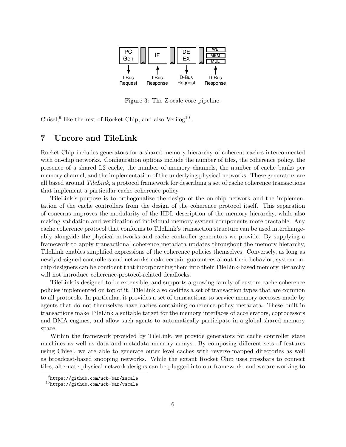

Figure 3: The Z-scale core pipeline.

Chisel, <sup>9</sup> like the rest of Rocket Chip, and also Verilog<sup>10</sup>.

### 7 Uncore and TileLink

Rocket Chip includes generators for a shared memory hierarchy of coherent caches interconnected with on-chip networks. Configuration options include the number of tiles, the coherence policy, the presence of a shared L2 cache, the number of memory channels, the number of cache banks per memory channel, and the implementation of the underlying physical networks. These generators are all based around TileLink, a protocol framework for describing a set of cache coherence transactions that implement a particular cache coherence policy.

TileLink's purpose is to orthogonalize the design of the on-chip network and the implementation of the cache controllers from the design of the coherence protocol itself. This separation of concerns improves the modularity of the HDL description of the memory hierarchy, while also making validation and verification of individual memory system components more tractable. Any cache coherence protocol that conforms to TileLink's transaction structure can be used interchangeably alongside the physical networks and cache controller generators we provide. By supplying a framework to apply transactional coherence metadata updates throughout the memory hierarchy, TileLink enables simplified expressions of the coherence policies themselves. Conversely, as long as newly designed controllers and networks make certain guarantees about their behavior, system-onchip designers can be confident that incorporating them into their TileLink-based memory hierarchy will not introduce coherence-protocol-related deadlocks.

TileLink is designed to be extensible, and supports a growing family of custom cache coherence policies implemented on top of it. TileLink also codifies a set of transaction types that are common to all protocols. In particular, it provides a set of transactions to service memory accesses made by agents that do not themselves have caches containing coherence policy metadata. These built-in transactions make TileLink a suitable target for the memory interfaces of accelerators, coprocessors and DMA engines, and allow such agents to automatically participate in a global shared memory space.

Within the framework provided by TileLink, we provide generators for cache controller state machines as well as data and metadata memory arrays. By composing different sets of features using Chisel, we are able to generate outer level caches with reverse-mapped directories as well as broadcast-based snooping networks. While the extant Rocket Chip uses crossbars to connect tiles, alternate physical network designs can be plugged into our framework, and we are working to

 $^{9}$ https://github.com/ucb-bar/zscale

 $^{10}$ https://github.com/ucb-bar/vscale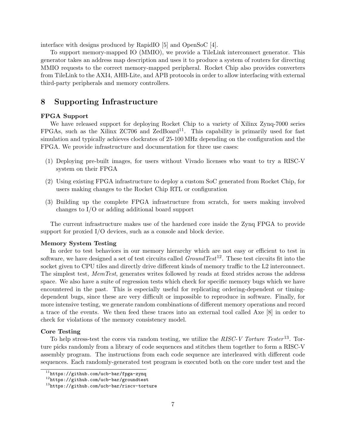interface with designs produced by RapidIO [5] and OpenSoC [4].

To support memory-mapped IO (MMIO), we provide a TileLink interconnect generator. This generator takes an address map description and uses it to produce a system of routers for directing MMIO requests to the correct memory-mapped peripheral. Rocket Chip also provides converters from TileLink to the AXI4, AHB-Lite, and APB protocols in order to allow interfacing with external third-party peripherals and memory controllers.

#### 8 Supporting Infrastructure

#### FPGA Support

We have released support for deploying Rocket Chip to a variety of Xilinx Zynq-7000 series  $FPGAs$ , such as the Xilinx  $ZC706$  and  $ZedBoard<sup>11</sup>$ . This capability is primarily used for fast simulation and typically achieves clockrates of 25-100 MHz depending on the configuration and the FPGA. We provide infrastructure and documentation for three use cases:

- (1) Deploying pre-built images, for users without Vivado licenses who want to try a RISC-V system on their FPGA
- (2) Using existing FPGA infrastructure to deploy a custom SoC generated from Rocket Chip, for users making changes to the Rocket Chip RTL or configuration
- (3) Building up the complete FPGA infrastructure from scratch, for users making involved changes to I/O or adding additional board support

The current infrastructure makes use of the hardened core inside the Zynq FPGA to provide support for proxied I/O devices, such as a console and block device.

#### Memory System Testing

In order to test behaviors in our memory hierarchy which are not easy or efficient to test in software, we have designed a set of test circuits called  $GroundTest^{12}$ . These test circuits fit into the socket given to CPU tiles and directly drive different kinds of memory traffic to the L2 interconnect. The simplest test, MemTest, generates writes followed by reads at fixed strides across the address space. We also have a suite of regression tests which check for specific memory bugs which we have encountered in the past. This is especially useful for replicating ordering-dependent or timingdependent bugs, since these are very difficult or impossible to reproduce in software. Finally, for more intensive testing, we generate random combinations of different memory operations and record a trace of the events. We then feed these traces into an external tool called Axe [8] in order to check for violations of the memory consistency model.

#### Core Testing

To help stress-test the cores via random testing, we utilize the RISC-V Torture Tester<sup>13</sup>. Torture picks randomly from a library of code sequences and stitches them together to form a RISC-V assembly program. The instructions from each code sequence are interleaved with different code sequences. Each randomly-generated test program is executed both on the core under test and the

 $^{11}$ https://github.com/ucb-bar/fpga-zynq

<sup>12</sup>https://github.com/ucb-bar/groundtest

 $13$ https://github.com/ucb-bar/riscv-torture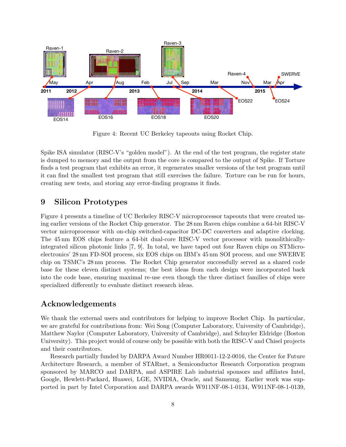

Figure 4: Recent UC Berkeley tapeouts using Rocket Chip.

Spike ISA simulator (RISC-V's "golden model"). At the end of the test program, the register state is dumped to memory and the output from the core is compared to the output of Spike. If Torture finds a test program that exhibits an error, it regenerates smaller versions of the test program until it can find the smallest test program that still exercises the failure. Torture can be run for hours, creating new tests, and storing any error-finding programs it finds.

## 9 Silicon Prototypes

Figure 4 presents a timeline of UC Berkeley RISC-V microprocessor tapeouts that were created using earlier versions of the Rocket Chip generator. The 28 nm Raven chips combine a 64-bit RISC-V vector microprocessor with on-chip switched-capacitor DC-DC converters and adaptive clocking. The 45 nm EOS chips feature a 64-bit dual-core RISC-V vector processor with monolithicallyintegrated silicon photonic links [7, 9]. In total, we have taped out four Raven chips on STMicroelectronics' 28 nm FD-SOI process, six EOS chips on IBM's 45 nm SOI process, and one SWERVE chip on TSMC's 28 nm process. The Rocket Chip generator successfully served as a shared code base for these eleven distinct systems; the best ideas from each design were incorporated back into the code base, ensuring maximal re-use even though the three distinct families of chips were specialized differently to evaluate distinct research ideas.

## Acknowledgements

We thank the external users and contributors for helping to improve Rocket Chip. In particular, we are grateful for contributions from: Wei Song (Computer Laboratory, University of Cambridge), Matthew Naylor (Computer Laboratory, University of Cambridge), and Schuyler Eldridge (Boston University). This project would of course only be possible with both the RISC-V and Chisel projects and their contributors.

Research partially funded by DARPA Award Number HR0011-12-2-0016, the Center for Future Architecture Research, a member of STARnet, a Semiconductor Research Corporation program sponsored by MARCO and DARPA, and ASPIRE Lab industrial sponsors and affiliates Intel, Google, Hewlett-Packard, Huawei, LGE, NVIDIA, Oracle, and Samsung. Earlier work was supported in part by Intel Corporation and DARPA awards W911NF-08-1-0134, W911NF-08-1-0139,